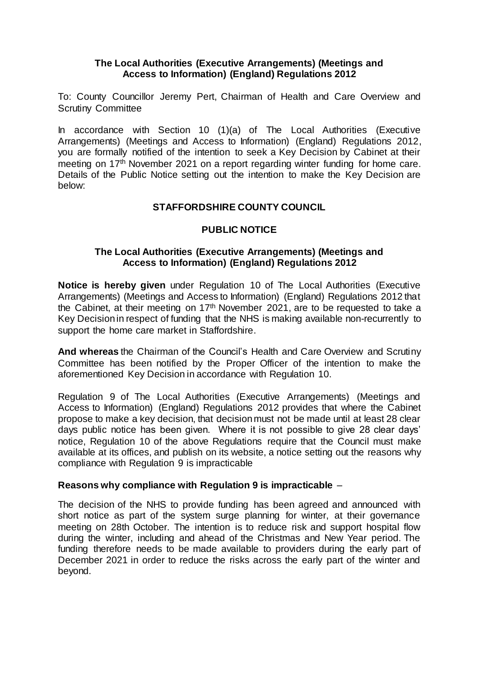### **The Local Authorities (Executive Arrangements) (Meetings and Access to Information) (England) Regulations 2012**

To: County Councillor Jeremy Pert, Chairman of Health and Care Overview and Scrutiny Committee

In accordance with Section 10 (1)(a) of The Local Authorities (Executive Arrangements) (Meetings and Access to Information) (England) Regulations 2012, you are formally notified of the intention to seek a Key Decision by Cabinet at their meeting on 17<sup>th</sup> November 2021 on a report regarding winter funding for home care. Details of the Public Notice setting out the intention to make the Key Decision are below:

# **STAFFORDSHIRE COUNTY COUNCIL**

# **PUBLIC NOTICE**

### **The Local Authorities (Executive Arrangements) (Meetings and Access to Information) (England) Regulations 2012**

**Notice is hereby given** under Regulation 10 of The Local Authorities (Executive Arrangements) (Meetings and Access to Information) (England) Regulations 2012 that the Cabinet, at their meeting on  $17<sup>th</sup>$  November 2021, are to be requested to take a Key Decision in respect of funding that the NHS is making available non-recurrently to support the home care market in Staffordshire.

**And whereas** the Chairman of the Council's Health and Care Overview and Scrutiny Committee has been notified by the Proper Officer of the intention to make the aforementioned Key Decision in accordance with Regulation 10.

Regulation 9 of The Local Authorities (Executive Arrangements) (Meetings and Access to Information) (England) Regulations 2012 provides that where the Cabinet propose to make a key decision, that decision must not be made until at least 28 clear days public notice has been given. Where it is not possible to give 28 clear days' notice, Regulation 10 of the above Regulations require that the Council must make available at its offices, and publish on its website, a notice setting out the reasons why compliance with Regulation 9 is impracticable

# **Reasons why compliance with Regulation 9 is impracticable** –

The decision of the NHS to provide funding has been agreed and announced with short notice as part of the system surge planning for winter, at their governance meeting on 28th October. The intention is to reduce risk and support hospital flow during the winter, including and ahead of the Christmas and New Year period. The funding therefore needs to be made available to providers during the early part of December 2021 in order to reduce the risks across the early part of the winter and beyond.